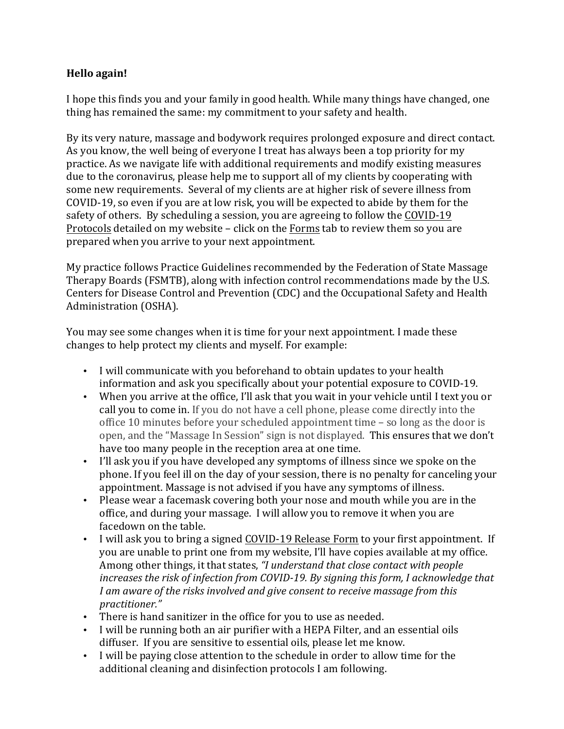## **Hello again!**

I hope this finds you and your family in good health. While many things have changed, one thing has remained the same: my commitment to your safety and health.

By its very nature, massage and bodywork requires prolonged exposure and direct contact. As you know, the well being of everyone I treat has always been a top priority for my practice. As we navigate life with additional requirements and modify existing measures due to the coronavirus, please help me to support all of my clients by cooperating with some new requirements. Several of my clients are at higher risk of severe illness from COVID-19, so even if you are at low risk, you will be expected to abide by them for the safety of others. By scheduling a session, you are agreeing to follow the COVID-19 Protocols detailed on my website – click on the Forms tab to review them so you are prepared when you arrive to your next appointment.

My practice follows Practice Guidelines recommended by the Federation of State Massage Therapy Boards (FSMTB), along with infection control recommendations made by the U.S. Centers for Disease Control and Prevention (CDC) and the Occupational Safety and Health Administration (OSHA).

You may see some changes when it is time for your next appointment. I made these changes to help protect my clients and myself. For example:

- I will communicate with you beforehand to obtain updates to your health information and ask you specifically about your potential exposure to COVID-19.
- When you arrive at the office, I'll ask that you wait in your vehicle until I text you or call you to come in. If you do not have a cell phone, please come directly into the office  $10$  minutes before your scheduled appointment time  $-$  so long as the door is open, and the "Massage In Session" sign is not displayed. This ensures that we don't have too many people in the reception area at one time.
- I'll ask you if you have developed any symptoms of illness since we spoke on the phone. If you feel ill on the day of your session, there is no penalty for canceling your appointment. Massage is not advised if you have any symptoms of illness.
- Please wear a facemask covering both your nose and mouth while you are in the office, and during your massage. I will allow you to remove it when you are facedown on the table.
- I will ask you to bring a signed COVID-19 Release Form to your first appointment. If you are unable to print one from my website, I'll have copies available at my office. Among other things, it that states, "I understand that close contact with people *increases the risk of infection from COVID-19. By signing this form, I acknowledge that I* am aware of the risks involved and give consent to receive massage from this *practitioner."*
- There is hand sanitizer in the office for you to use as needed.
- I will be running both an air purifier with a HEPA Filter, and an essential oils diffuser. If you are sensitive to essential oils, please let me know.
- I will be paying close attention to the schedule in order to allow time for the additional cleaning and disinfection protocols I am following.